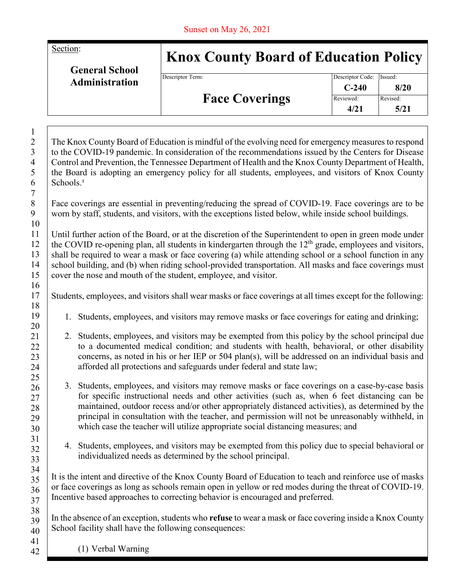Section:

**General School Administration**

## **Knox County Board of Education Policy**

Descriptor Term:

| <b>Face Coverings</b> | Descriptor Code: Issued:<br>$C-240$ | 8/20     |
|-----------------------|-------------------------------------|----------|
|                       | Reviewed:                           | Revised: |
|                       | 4/21                                | 5/21     |

The Knox County Board of Education is mindful of the evolving need for emergency measures to respond to the COVID-19 pandemic. In consideration of the recommendations issued by the Centers for Disease Control and Prevention, the Tennessee Department of Health and the Knox County Department of Health, the Board is adopting an emergency policy for all students, employees, and visitors of Knox County  $Schools.<sup>1</sup>$ 

Face coverings are essential in preventing/reducing the spread of COVID-19. Face coverings are to be worn by staff, students, and visitors, with the exceptions listed below, while inside school buildings.

Until further action of the Board, or at the discretion of the Superintendent to open in green mode under the COVID re-opening plan, all students in kindergarten through the  $12<sup>th</sup>$  grade, employees and visitors, shall be required to wear a mask or face covering (a) while attending school or a school function in any school building, and (b) when riding school-provided transportation. All masks and face coverings must cover the nose and mouth of the student, employee, and visitor.

Students, employees, and visitors shall wear masks or face coverings at all times except for the following:

- 1. Students, employees, and visitors may remove masks or face coverings for eating and drinking;
- 2. Students, employees, and visitors may be exempted from this policy by the school principal due to a documented medical condition; and students with health, behavioral, or other disability concerns, as noted in his or her IEP or 504 plan(s), will be addressed on an individual basis and afforded all protections and safeguards under federal and state law;
- 3. Students, employees, and visitors may remove masks or face coverings on a case-by-case basis for specific instructional needs and other activities (such as, when 6 feet distancing can be maintained, outdoor recess and/or other appropriately distanced activities), as determined by the principal in consultation with the teacher, and permission will not be unreasonably withheld, in which case the teacher will utilize appropriate social distancing measures; and
- 4. Students, employees, and visitors may be exempted from this policy due to special behavioral or individualized needs as determined by the school principal.

It is the intent and directive of the Knox County Board of Education to teach and reinforce use of masks or face coverings as long as schools remain open in yellow or red modes during the threat of COVID-19. Incentive based approaches to correcting behavior is encouraged and preferred.

In the absence of an exception, students who **refuse** to wear a mask or face covering inside a Knox County School facility shall have the following consequences:

(1) Verbal Warning